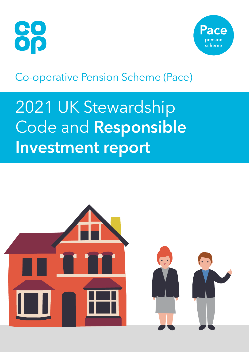



## Co-operative Pension Scheme (Pace)

# 2021 UK Stewardship Code and **Responsible Investment report**

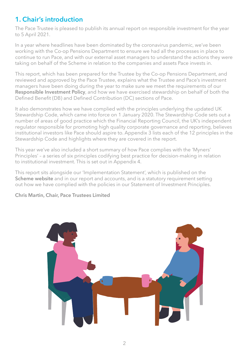## **1. Chair's introduction**

The Pace Trustee is pleased to publish its annual report on responsible investment for the year to 5 April 2021.

In a year where headlines have been dominated by the coronavirus pandemic, we've been working with the Co-op Pensions Department to ensure we had all the processes in place to continue to run Pace, and with our external asset managers to understand the actions they were taking on behalf of the Scheme in relation to the companies and assets Pace invests in.

This report, which has been prepared for the Trustee by the Co-op Pensions Department, and reviewed and approved by the Pace Trustee, explains what the Trustee and Pace's investment managers have been doing during the year to make sure we meet the requirements of our **[Responsible Investment Policy](https://coop.pacepensions.co.uk/Uploads/Documents/00/00/00/23/DocumentDocument_FILE/Responsible-Investment-Policy.pdf)**, and how we have exercised stewardship on behalf of both the Defined Benefit (DB) and Defined Contribution (DC) sections of Pace.

It also demonstrates how we have complied with the principles underlying the updated UK Stewardship Code, which came into force on 1 January 2020. The Stewardship Code sets out a number of areas of good practice which the Financial Reporting Council, the UK's independent regulator responsible for promoting high quality corporate governance and reporting, believes institutional investors like Pace should aspire to. Appendix 3 lists each of the 12 principles in the Stewardship Code and highlights where they are covered in the report.

This year we've also included a short summary of how Pace complies with the 'Myners' Principles' – a series of six principles codifying best practice for decision-making in relation to institutional investment. This is set out in Appendix 4.

This report sits alongside our 'Implementation Statement', which is published on the **[Scheme website](http://coop.pacepensions.co.uk)** and in our report and accounts, and is a statutory requirement setting out how we have complied with the policies in our Statement of Investment Principles.

#### **Chris Martin, Chair, Pace Trustees Limited**

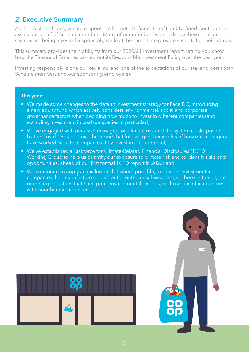## **2. Executive Summary**

As the Trustee of Pace, we are responsible for both Defined Benefit and Defined Contribution assets on behalf of Scheme members. Many of our members want to know these pension savings are being invested responsibly, while at the same time provide security for their futures.

This summary provides the highlights from our 2020/21 investment report, letting you know how the Trustee of Pace has carried out its Responsible Investment Policy over the past year.

Investing responsibly is one our key aims, and one of the expectations of our stakeholders (both Scheme members and our sponsoring employers).

#### **This year:**

- We made some changes to the default investment strategy for Pace DC, introducing a new equity fund which actively considers environmental, social and corporate governance factors when deciding how much to invest in different companies (and excluding investment in coal companies in particular);
- We've engaged with our asset managers on climate risk and the systemic risks posed by the Covid-19 pandemic; the report that follows gives examples of how our managers have worked with the companies they invest in on our behalf;
- We've established a Taskforce for Climate-Related Financial Disclosures (TCFD) Working Group to help us quantify our exposure to climate risk and to identify risks and opportunities, ahead of our first formal TCFD report in 2022; and
- We continued to apply an exclusions list where possible, to prevent investment in companies that manufacture or distribute controversial weapons, or those in the oil, gas or mining industries that have poor environmental records, or those based in countries with poor human rights records.



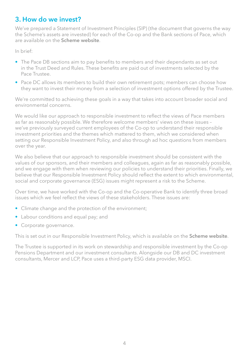## **3. How do we invest?**

We've prepared a Statement of Investment Principles (SIP) (the document that governs the way the Scheme's assets are invested) for each of the Co-op and the Bank sections of Pace, which are available on the **[Scheme website](http://coop.pacepensions.co.uk)**.

In brief:

- The Pace DB sections aim to pay benefits to members and their dependants as set out in the Trust Deed and Rules. These benefits are paid out of investments selected by the Pace Trustee.
- Pace DC allows its members to build their own retirement pots; members can choose how they want to invest their money from a selection of investment options offered by the Trustee.

We're committed to achieving these goals in a way that takes into account broader social and environmental concerns.

We would like our approach to responsible investment to reflect the views of Pace members as far as reasonably possible. We therefore welcome members' views on these issues – we've previously surveyed current employees of the Co-op to understand their responsible investment priorities and the themes which mattered to them, which we considered when setting our Responsible Investment Policy, and also through ad hoc questions from members over the year.

We also believe that our approach to responsible investment should be consistent with the values of our sponsors, and their members and colleagues, again as far as reasonably possible, and we engage with them when reviewing our policies to understand their priorities. Finally, we believe that our Responsible Investment Policy should reflect the extent to which environmental, social and corporate governance (ESG) issues might represent a risk to the Scheme.

Over time, we have worked with the Co-op and the Co-operative Bank to identify three broad issues which we feel reflect the views of these stakeholders. These issues are:

- Climate change and the protection of the environment;
- Labour conditions and equal pay; and
- Corporate governance.

This is set out in our Responsible Investment Policy, which is available on the **[Scheme website](http://coop.pacepensions.co.uk)**.

The Trustee is supported in its work on stewardship and responsible investment by the Co-op Pensions Department and our investment consultants. Alongside our DB and DC investment consultants, Mercer and LCP, Pace uses a third-party ESG data provider, MSCI.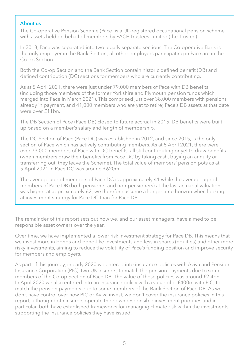#### **About us**

The Co-operative Pension Scheme (Pace) is a UK-registered occupational pension scheme with assets held on behalf of members by PACE Trustees Limited (the Trustee).

In 2018, Pace was separated into two legally separate sections. The Co-operative Bank is the only employer in the Bank Section; all other employers participating in Pace are in the Co-op Section.

Both the Co-op Section and the Bank Section contain historic defined benefit (DB) and defined contribution (DC) sections for members who are currently contributing.

As at 5 April 2021, there were just under 79,000 members of Pace with DB benefits (including those members of the former Yorkshire and Plymouth pension funds which merged into Pace in March 2021). This comprised just over 38,000 members with pensions already in payment, and 41,000 members who are yet to retire; Pace's DB assets at that date were over £11bn.

The DB Section of Pace (Pace DB) closed to future accrual in 2015. DB benefits were built up based on a member's salary and length of membership.

The DC Section of Pace (Pace DC) was established in 2012, and since 2015, is the only section of Pace which has actively contributing members. As at 5 April 2021, there were over 73,000 members of Pace with DC benefits, all still contributing or yet to draw benefits (when members draw their benefits from Pace DC by taking cash, buying an annuity or transferring out, they leave the Scheme). The total value of members' pension pots as at 5 April 2021 in Pace DC was around £620m.

The average age of members of Pace DC is approximately 41 while the average age of members of Pace DB (both pensioner and non-pensioners) at the last actuarial valuation was higher at approximately 62; we therefore assume a longer time horizon when looking at investment strategy for Pace DC than for Pace DB.

The remainder of this report sets out how we, and our asset managers, have aimed to be responsible asset owners over the year.

Over time, we have implemented a lower risk investment strategy for Pace DB. This means that we invest more in bonds and bond-like investments and less in shares (equities) and other more risky investments, aiming to reduce the volatility of Pace's funding position and improve security for members and employers.

As part of this journey, in early 2020 we entered into insurance policies with Aviva and Pension Insurance Corporation (PIC), two UK insurers, to match the pension payments due to some members of the Co-op Section of Pace DB. The value of these policies was around £2.4bn. In April 2020 we also entered into an insurance policy with a value of c. £400m with PIC, to match the pension payments due to some members of the Bank Section of Pace DB. As we don't have control over how PIC or Aviva invest, we don't cover the insurance policies in this report, although both insurers operate their own responsible investment priorities and in particular, both have established frameworks for managing climate risk within the investments supporting the insurance policies they have issued.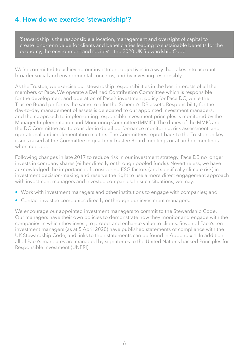## **4. How do we exercise 'stewardship'?**

'Stewardship is the responsible allocation, management and oversight of capital to create long-term value for clients and beneficiaries leading to sustainable benefits for the economy, the environment and society' – the 2020 UK Stewardship Code.

We're committed to achieving our investment objectives in a way that takes into account broader social and environmental concerns, and by investing responsibly.

As the Trustee, we exercise our stewardship responsibilities in the best interests of all the members of Pace. We operate a Defined Contribution Committee which is responsible for the development and operation of Pace's investment policy for Pace DC, while the Trustee Board performs the same role for the Scheme's DB assets. Responsibility for the day-to-day management of assets is delegated to our appointed investment managers, and their approach to implementing responsible investment principles is monitored by the Manager Implementation and Monitoring Committee (MMIC). The duties of the MMIC and the DC Committee are to consider in detail performance monitoring, risk assessment, and operational and implementation matters. The Committees report back to the Trustee on key issues raised at the Committee in quarterly Trustee Board meetings or at ad hoc meetings when needed.

Following changes in late 2017 to reduce risk in our investment strategy, Pace DB no longer invests in company shares (either directly or through pooled funds). Nevertheless, we have acknowledged the importance of considering ESG factors (and specifically climate risk) in investment decision-making and reserve the right to use a more direct engagement approach with investment managers and investee companies. In such situations, we may:

- Work with investment managers and other institutions to engage with companies; and
- Contact investee companies directly or through our investment managers.

We encourage our appointed investment managers to commit to the Stewardship Code. Our managers have their own policies to demonstrate how they monitor and engage with the companies in which they invest, to protect and enhance value to clients. Seven of Pace's ten investment managers (as at 5 April 2020) have published statements of compliance with the UK Stewardship Code, and links to their statements can be found in Appendix 1. In addition, all of Pace's mandates are managed by signatories to the United Nations backed Principles for Responsible Investment (UNPRI).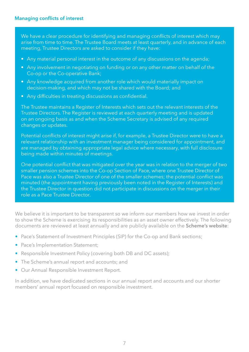#### **Managing conflicts of interest**

We have a clear procedure for identifying and managing conflicts of interest which may arise from time to time. The Trustee Board meets at least quarterly, and in advance of each meeting, Trustee Directors are asked to consider if they have:

- Any material personal interest in the outcome of any discussions on the agenda;
- Any involvement in negotiating on funding or on any other matter on behalf of the Co-op or the Co-operative Bank;
- Any knowledge acquired from another role which would materially impact on decision-making, and which may not be shared with the Board; and
- Any difficulties in treating discussions as confidential.

The Trustee maintains a Register of Interests which sets out the relevant interests of the Trustee Directors. The Register is reviewed at each quarterly meeting and is updated on an ongoing basis as and when the Scheme Secretary is advised of any required changes or updates.

Potential conflicts of interest might arise if, for example, a Trustee Director were to have a relevant relationship with an investment manager being considered for appointment, and are managed by obtaining appropriate legal advice where necessary, with full disclosure being made within minutes of meetings.

One potential conflict that was mitigated over the year was in relation to the merger of two smaller pension schemes into the Co-op Section of Pace, where one Trustee Director of Pace was also a Trustee Director of one of the smaller schemes; the potential conflict was minuted (the appointment having previously been noted in the Register of Interests) and the Trustee Director in question did not participate in discussions on the merger in their role as a Pace Trustee Director.

We believe it is important to be transparent so we inform our members how we invest in order to show the Scheme is exercising its responsibilities as an asset owner effectively. The following documents are reviewed at least annually and are publicly available on the **[Scheme's website](http://coop.pacepensions.co.uk)**:

- Pace's Statement of Investment Principles (SIP) for the Co-op and Bank sections;
- Pace's Implementation Statement;
- Responsible Investment Policy (covering both DB and DC assets);
- The Scheme's annual report and accounts; and
- Our Annual Responsible Investment Report.

In addition, we have dedicated sections in our annual report and accounts and our shorter members' annual report focused on responsible investment.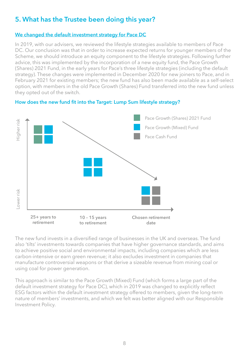## **5. What has the Trustee been doing this year?**

#### **We changed the default investment strategy for Pace DC**

In 2019, with our advisers, we reviewed the lifestyle strategies available to members of Pace DC. Our conclusion was that in order to increase expected returns for younger members of the Scheme, we should introduce an equity component to the lifestyle strategies. Following further advice, this was implemented by the incorporation of a new equity fund, the Pace Growth (Shares) 2021 Fund, in the early years for Pace's three lifestyle strategies (including the default strategy). These changes were implemented in December 2020 for new joiners to Pace, and in February 2021 for existing members; the new fund has also been made available as a self-select option, with members in the old Pace Growth (Shares) Fund transferred into the new fund unless they opted out of the switch.



#### **How does the new fund fit into the Target: Lump Sum lifestyle strategy?**

The new fund invests in a diversified range of businesses in the UK and overseas. The fund also 'tilts' investments towards companies that have higher governance standards, and aims to achieve positive social and environmental impacts, including companies which are less carbon-intensive or earn green revenue; it also excludes investment in companies that manufacture controversial weapons or that derive a sizeable revenue from mining coal or using coal for power generation.

This approach is similar to the Pace Growth (Mixed) Fund (which forms a large part of the default investment strategy for Pace DC), which in 2019 was changed to explicitly reflect ESG factors within the default investment strategy offered to members, given the long-term nature of members' investments, and which we felt was better aligned with our Responsible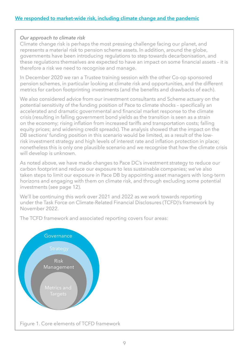#### *Our approach to climate risk*

Climate change risk is perhaps the most pressing challenge facing our planet, and represents a material risk to pension scheme assets. In addition, around the globe, governments have been introducing regulations to step towards decarbonisation, and these regulations themselves are expected to have an impact on some financial assets – it is therefore a risk we need to recognise and manage.

In December 2020 we ran a Trustee training session with the other Co-op sponsored pension schemes, in particular looking at climate risk and opportunities, and the different metrics for carbon footprinting investments (and the benefits and drawbacks of each).

We also considered advice from our investment consultants and Scheme actuary on the potential sensitivity of the funding position of Pace to climate shocks – specifically an accelerated and dramatic governmental and financial market response to the climate crisis (resulting in falling government bond yields as the transition is seen as a strain on the economy; rising inflation from increased tariffs and transportation costs; falling equity prices; and widening credit spreads). The analysis showed that the impact on the DB sections' funding position in this scenario would be limited, as a result of the lowrisk investment strategy and high levels of interest rate and inflation protection in place; nonetheless this is only one plausible scenario and we recognise that how the climate crisis will develop is unknown.

As noted above, we have made changes to Pace DC's investment strategy to reduce our carbon footprint and reduce our exposure to less sustainable companies; we've also taken steps to limit our exposure in Pace DB by appointing asset managers with long-term horizons and engaging with them on climate risk, and through excluding some potential investments (see page 12).

We'll be continuing this work over 2021 and 2022 as we work towards reporting under the Task Force on Climate-Related Financial Disclosures (TCFD)'s framework by November 2022.

The TCFD framework and associated reporting covers four areas:

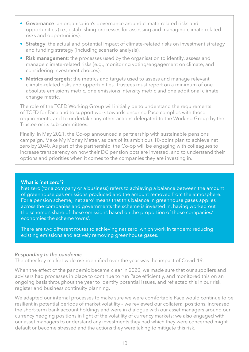- **Governance**: an organisation's governance around climate-related risks and opportunities (i.e., establishing processes for assessing and managing climate-related risks and opportunities).
- **Strategy**: the actual and potential impact of climate-related risks on investment strategy and funding strategy (including scenario analysis).
- **Risk management**: the processes used by the organisation to identify, assess and manage climate-related risks (e.g., monitoring voting/engagement on climate, and considering investment choices).
- **Metrics and targets**: the metrics and targets used to assess and manage relevant climate-related risks and opportunities. Trustees must report on a minimum of one absolute emissions metric, one emissions intensity metric and one additional climate change metric.

The role of the TCFD Working Group will initially be to understand the requirements of TCFD for Pace and to support work towards ensuring Pace complies with those requirements, and to undertake any other actions delegated to the Working Group by the Trustee or its sub-committees.

Finally, in May 2021, the Co-op announced a partnership with sustainable pensions campaign, Make My Money Matter, as part of its ambitious 10-point plan to achieve net zero by 2040. As part of the partnership, the Co-op will be engaging with colleagues to increase transparency on how their DC pension pots are invested, and to understand their options and priorities when it comes to the companies they are investing in.

#### **What is 'net zero'?**

Net zero (for a company or a business) refers to achieving a balance between the amount of greenhouse gas emissions produced and the amount removed from the atmosphere. For a pension scheme, 'net zero' means that this balance in greenhouse gases applies across the companies and governments the scheme is invested in, having worked out the scheme's share of these emissions based on the proportion of those companies/ economies the scheme 'owns'.

There are two different routes to achieving net zero, which work in tandem: reducing existing emissions and actively removing greenhouse gases.

#### *Responding to the pandemic*

The other key market-wide risk identified over the year was the impact of Covid-19.

When the effect of the pandemic became clear in 2020, we made sure that our suppliers and advisers had processes in place to continue to run Pace efficiently, and monitored this on an ongoing basis throughout the year to identify potential issues, and reflected this in our risk register and business continuity planning.

We adapted our internal processes to make sure we were comfortable Pace would continue to be resilient in potential periods of market volatility – we reviewed our collateral positions, increased the short-term bank account holdings and were in dialogue with our asset managers around our currency hedging positions in light of the volatility of currency markets; we also engaged with our asset managers to understand any investments they had which they were concerned might default or become stressed and the actions they were taking to mitigate this risk.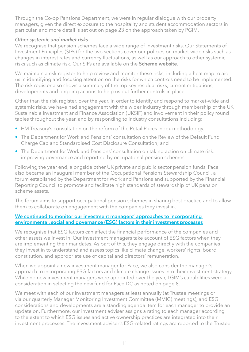Through the Co-op Pensions Department, we were in regular dialogue with our property managers, given the direct exposure to the hospitality and student accommodation sectors in particular, and more detail is set out on page 23 on the approach taken by PGIM.

#### *Other systemic and market risks*

We recognise that pension schemes face a wide range of investment risks. Our Statements of Investment Principles (SIPs) for the two sections cover our policies on market-wide risks such as changes in interest rates and currency fluctuations, as well as our approach to other systemic risks such as climate risk. Our SIPs are available on the **[Scheme website](http://coop.pacepensions.co.uk)**.

We maintain a risk register to help review and monitor these risks; including a heat map to aid us in identifying and focusing attention on the risks for which controls need to be implemented. The risk register also shows a summary of the top key residual risks, current mitigations, developments and ongoing actions to help us put further controls in place.

Other than the risk register, over the year, in order to identify and respond to market-wide and systemic risks, we have had engagement with the wider industry through membership of the UK Sustainable Investment and Finance Association (UKSIF) and involvement in their policy round tables throughout the year, and by responding to industry consultations including:

- HM Treasury's consultation on the reform of the Retail Prices Index methodology;
- The Department for Work and Pensions' consultation on the Review of the Default Fund Charge Cap and Standardised Cost Disclosure Consultation; and
- The Department for Work and Pensions' consultation on taking action on climate risk: improving governance and reporting by occupational pension schemes.

Following the year end, alongside other UK private and public sector pension funds, Pace also became an inaugural member of the Occupational Pensions Stewardship Council, a forum established by the Department for Work and Pensions and supported by the Financial Reporting Council to promote and facilitate high standards of stewardship of UK pension scheme assets.

The forum aims to support occupational pension schemes in sharing best practice and to allow them to collaborate on engagement with the companies they invest in.

#### **We continued to monitor our investment managers' approaches to incorporating environmental, social and governance (ESG) factors in their investment processes**

We recognise that ESG factors can affect the financial performance of the companies and other assets we invest in. Our investment managers take account of ESG factors when they are implementing their mandates. As part of this, they engage directly with the companies they invest in to understand and assess topics like climate change, workers' rights, board constitution, and appropriate use of capital and directors' remuneration.

When we appoint a new investment manager for Pace, we also consider the manager's approach to incorporating ESG factors and climate change issues into their investment strategy. While no new investment managers were appointed over the year, LGIM's capabilities were a consideration in selecting the new fund for Pace DC as noted on page 8.

We meet with each of our investment managers at least annually (at Trustee meetings or via our quarterly Manager Monitoring Investment Committee (MMIC) meetings), and ESG considerations and developments are a standing agenda item for each manager to provide an update on. Furthermore, our investment adviser assigns a rating to each manager according to the extent to which ESG issues and active ownership practices are integrated into their investment processes. The investment adviser's ESG-related ratings are reported to the Trustee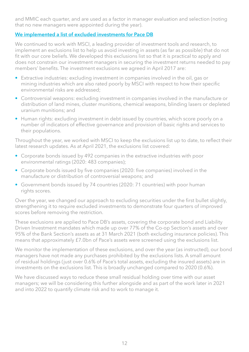and MMIC each quarter, and are used as a factor in manager evaluation and selection (noting that no new managers were appointed during the year).

#### **We implemented a list of excluded investments for Pace DB**

We continued to work with MSCI, a leading provider of investment tools and research, to implement an exclusions list to help us avoid investing in assets (as far as possible) that do not fit with our core beliefs. We developed this exclusions list so that it is practical to apply and does not constrain our investment managers in securing the investment returns needed to pay members' benefits. The investment exclusions we agreed in April 2017 are:

- Extractive industries: excluding investment in companies involved in the oil, gas or mining industries which are also rated poorly by MSCI with respect to how their specific environmental risks are addressed;
- Controversial weapons: excluding investment in companies involved in the manufacture or distribution of land mines, cluster munitions, chemical weapons, blinding lasers or depleted uranium munitions; and
- Human rights: excluding investment in debt issued by countries, which score poorly on a number of indicators of effective governance and provision of basic rights and services to their populations.

Throughout the year, we worked with MSCI to keep the exclusions list up to date, to reflect their latest research updates. As at April 2021, the exclusions list covered:

- Corporate bonds issued by 492 companies in the extractive industries with poor environmental ratings (2020: 483 companies);
- Corporate bonds issued by five companies (2020: five companies) involved in the manufacture or distribution of controversial weapons; and
- Government bonds issued by 74 countries (2020: 71 countries) with poor human rights scores.

Over the year, we changed our approach to excluding securities under the first bullet slightly, strengthening it to require excluded investments to demonstrate four quarters of improved scores before removing the restriction.

These exclusions are applied to Pace DB's assets, covering the corporate bond and Liability Driven Investment mandates which made up over 77% of the Co-op Section's assets and over 95% of the Bank Section's assets as at 31 March 2021 (both excluding insurance policies). This means that approximately £7.0bn of Pace's assets were screened using the exclusions list.

We monitor the implementation of these exclusions, and over the year (as instructed), our bond managers have not made any purchases prohibited by the exclusions lists. A small amount of residual holdings (just over 0.6% of Pace's total assets, excluding the insured assets) are in investments on the exclusions list. This is broadly unchanged compared to 2020 (0.6%).

We have discussed ways to reduce these small residual holding over time with our asset managers; we will be considering this further alongside and as part of the work later in 2021 and into 2022 to quantify climate risk and to work to manage it.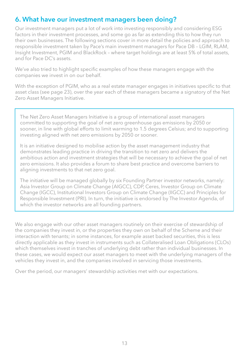## **6. What have our investment managers been doing?**

Our investment managers put a lot of work into investing responsibly and considering ESG factors in their investment processes, and some go as far as extending this to how they run their own businesses. The following sections cover in more detail the policies and approach to responsible investment taken by Pace's main investment managers for Pace DB – LGIM, RLAM, Insight Investment, PGIM and BlackRock – where target holdings are at least 5% of total assets, and for Pace DC's assets.

We've also tried to highlight specific examples of how these managers engage with the companies we invest in on our behalf.

With the exception of PGIM, who as a real estate manager engages in initiatives specific to that asset class (see page 23), over the year each of these managers became a signatory of the Net Zero Asset Managers Initiative.

The Net Zero Asset Managers Initiative is a group of international asset managers committed to supporting the goal of net zero greenhouse gas emissions by 2050 or sooner, in line with global efforts to limit warming to 1.5 degrees Celsius; and to supporting investing aligned with net zero emissions by 2050 or sooner.

It is an initiative designed to mobilise action by the asset management industry that demonstrates leading practice in driving the transition to net zero and delivers the ambitious action and investment strategies that will be necessary to achieve the goal of net zero emissions. It also provides a forum to share best practice and overcome barriers to aligning investments to that net zero goal.

The initiative will be managed globally by six Founding Partner investor networks, namely: Asia Investor Group on Climate Change (AIGCC), CDP, Ceres, Investor Group on Climate Change (IGCC), Institutional Investors Group on Climate Change (IIGCC) and Principles for Responsible Investment (PRI). In turn, the initiative is endorsed by The Investor Agenda, of which the investor networks are all founding partners.

We also engage with our other asset managers routinely on their exercise of stewardship of the companies they invest in, or the properties they own on behalf of the Scheme and their interaction with tenants; in some instances, for example asset backed securities, this is less directly applicable as they invest in instruments such as Collateralised Loan Obligations (CLOs) which themselves invest in tranches of underlying debt rather than individual businesses. In these cases, we would expect our asset managers to meet with the underlying managers of the vehicles they invest in, and the companies involved in servicing those investments.

Over the period, our managers' stewardship activities met with our expectations.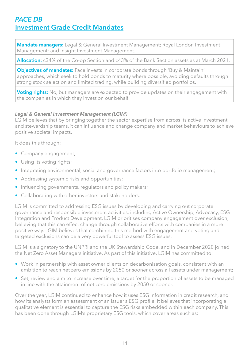## *PACE DB* **Investment Grade Credit Mandates**

**Mandate managers:** Legal & General Investment Management; Royal London Investment Management; and Insight Investment Management.

**Allocation:** c34% of the Co-op Section and c43% of the Bank Section assets as at March 2021.

**Objectives of mandates:** Pace invests in corporate bonds through 'Buy & Maintain' approaches, which seek to hold bonds to maturity where possible, avoiding defaults through strong stock selection and limited trading, while building diversified portfolios.

**Voting rights:** No, but managers are expected to provide updates on their engagement with the companies in which they invest on our behalf.

#### *Legal & General Investment Management (LGIM)*

LGIM believes that by bringing together the sector expertise from across its active investment and stewardship teams, it can influence and change company and market behaviours to achieve positive societal impacts.

It does this through:

- Company engagement;
- Using its voting rights;
- Integrating environmental, social and governance factors into portfolio management;
- Addressing systemic risks and opportunities;
- Influencing governments, regulators and policy makers;
- Collaborating with other investors and stakeholders.

LGIM is committed to addressing ESG issues by developing and carrying out corporate governance and responsible investment activities, including Active Ownership, Advocacy, ESG Integration and Product Development. LGIM prioritises company engagement over exclusion, believing that this can effect change through collaborative efforts with companies in a more positive way. LGIM believes that combining this method with engagement and voting and targeted exclusions can be a very powerful tool to assess ESG issues.

LGIM is a signatory to the UNPRI and the UK Stewardship Code, and in December 2020 joined the Net Zero Asset Managers initiative. As part of this initiative, LGIM has committed to:

- Work in partnership with asset owner clients on decarbonisation goals, consistent with an ambition to reach net zero emissions by 2050 or sooner across all assets under management;
- Set, review and aim to increase over time, a target for the proportion of assets to be managed in line with the attainment of net zero emissions by 2050 or sooner.

Over the year, LGIM continued to enhance how it uses ESG information in credit research, and how its analysts form an assessment of an issuer's ESG profile. It believes that incorporating a qualitative element is essential to capture the ESG risks embedded within each company. This has been done through LGIM's proprietary ESG tools, which cover areas such as: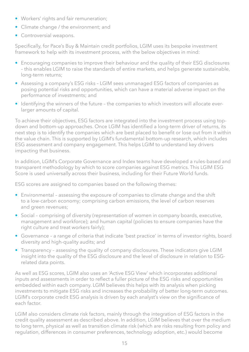- Workers' rights and fair remuneration;
- Climate change / the environment; and
- Controversial weapons.

Specifically, for Pace's Buy & Maintain credit portfolios, LGIM uses its bespoke investment framework to help with its investment process, with the below objectives in mind:

- Encouraging companies to improve their behaviour and the quality of their ESG disclosures – this enables LGIM to raise the standards of entire markets, and helps generate sustainable, long-term returns;
- Assessing a company's ESG risks LGIM sees unmanaged ESG factors of companies as posing potential risks and opportunities, which can have a material adverse impact on the performance of investments; and
- Identifying the winners of the future the companies to which investors will allocate everlarger amounts of capital.

To achieve their objectives, ESG factors are integrated into the investment process using topdown and bottom-up approaches. Once LGIM has identified a long-term driver of returns, its next step is to identify the companies which are best placed to benefit or lose out from it within the value chain. This is supported by LGIM's fundamental bottom-up research, which includes ESG assessment and company engagement. This helps LGIM to understand key drivers impacting that business.

In addition, LGIM's Corporate Governance and Index teams have developed a rules-based and transparent methodology by which to score companies against ESG metrics. This LGIM ESG Score is used universally across their business, including for their Future World funds.

ESG scores are assigned to companies based on the following themes:

- Environmental assessing the exposure of companies to climate change and the shift to a low-carbon economy; comprising carbon emissions, the level of carbon reserves and green revenues;
- Social comprising of diversity (representation of women in company boards, executive, management and workforce); and human capital (policies to ensure companies have the right culture and treat workers fairly);
- Governance a range of criteria that indicate 'best practice' in terms of investor rights, board diversity and high-quality audits; and
- Transparency assessing the quality of company disclosures. These indicators give LGIM insight into the quality of the ESG disclosure and the level of disclosure in relation to ESGrelated data points.

As well as ESG scores, LGIM also uses an 'Active ESG View' which incorporates additional inputs and assessments in order to reflect a fuller picture of the ESG risks and opportunities embedded within each company. LGIM believes this helps with its analysis when picking investments to mitigate ESG risks and increases the probability of better long-term outcomes. LGIM's corporate credit ESG analysis is driven by each analyst's view on the significance of each factor.

LGIM also considers climate risk factors, mainly through the integration of ESG factors in the credit quality assessment as described above. In addition, LGIM believes that over the medium to long term, physical as well as transition climate risk (which are risks resulting from policy and regulation, differences in consumer preferences, technology adoption, etc.) would become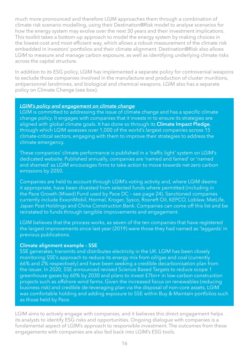much more pronounced and therefore LGIM approaches them through a combination of climate risk scenario modelling, using their Destination@Risk model to analyse scenarios for how the energy system may evolve over the next 30 years and their investment implications. This toolkit takes a bottom-up approach to model the energy system by making choices in the lowest-cost and most efficient way, which allows a robust measurement of the climate risk embedded in investors' portfolios and their climate alignment. Destination@Risk also allows LGIM to measure and manage carbon exposure, as well as identifying underlying climate risks across the capital structure.

In addition to its ESG policy, LGIM has implemented a separate policy for controversial weapons to exclude those companies involved in the manufacture and production of cluster munitions, antipersonnel landmines, and biological and chemical weapons. LGIM also has a separate policy on Climate Change (see box).

#### *LGIM's policy and engagement on climate change*

LGIM is committed to addressing the issue of climate change and has a specific climate change policy. It engages with companies that it invests in to ensure its strategies are aligned with global climate goals. It has done so through its **[Climate Impact Pledge](https://www.lgim.com/landg-assets/lgim/_document-library/responsible-investing/climate-impact-pledge-brochure-uk-eu-2021.pdf)**, through which LGIM assesses over 1,000 of the world's largest companies across 15 climate-critical sectors, engaging with them to improve their strategies to address the climate emergency.

These companies' climate performance is published in a 'traffic light' system on LGIM's dedicated website. Published annually, companies are 'named and famed' or 'named and shamed' as LGIM encourages firms to take action to move towards net zero carbon emissions by 2050.

Companies are held to account through LGIM's voting activity and, where LGIM deems it appropriate, have been divested from selected funds where permitted (including in the Pace Growth (Mixed) Fund used by Pace DC – see page 24). Sanctioned companies currently include ExxonMobil, Hormel, Kroger, Sysco, Rosneft Oil, KEPCO, Loblaw, MetLife, Japan Post Holdings and China Construction Bank. Companies can come off this list and be reinstated to funds through tangible improvements and engagement.

LGIM believes that the process works, as seven of the ten companies that have registered the largest improvements since last year (2019) were those they had named as 'laggards' in previous publications.

#### **Climate alignment example – SSE**

SSE generates, transmits and distributes electricity in the UK. LGIM has been closely monitoring SSE's approach to reduce its energy mix from oil/gas and coal (currently 66% and 2% respectively) and have been seeking a credible decarbonisation plan from the issuer. In 2020, SSE announced revised Science Based Targets to reduce scope 1 greenhouse gases by 60% by 2030 and plans to invest £7bn+ in low-carbon construction projects such as offshore wind farms. Given the increased focus on renewables (reducing business risk) and credible de-leveraging plan via the disposal of non-core assets, LGIM was comfortable holding and adding exposure to SSE within Buy & Maintain portfolios such as those held by Pace.

LGIM aims to actively engage with companies, and it believes this direct engagement helps its analysts to identify ESG risks and opportunities. Ongoing dialogue with companies is a fundamental aspect of LGIM's approach to responsible investment. The outcomes from these engagements with companies are also fed back into LGIM's ESG tools.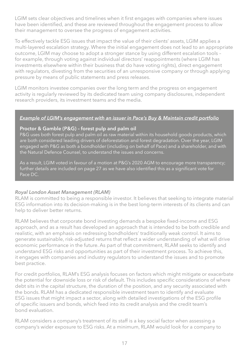LGIM sets clear objectives and timelines when it first engages with companies where issues have been identified, and these are reviewed throughout the engagement process to allow their management to oversee the progress of engagement activities.

To effectively tackle ESG issues that impact the value of their clients' assets, LGIM applies a multi-layered escalation strategy. Where the initial engagement does not lead to an appropriate outcome, LGIM may choose to adopt a stronger stance by using different escalation tools – for example, through voting against individual directors' reappointments (where LGIM has investments elsewhere within their business that do have voting rights), direct engagement with regulators, divesting from the securities of an unresponsive company or through applying pressure by means of public statements and press releases.

LGIM monitors investee companies over the long term and the progress on engagement activity is regularly reviewed by its dedicated team using company disclosures, independent research providers, its investment teams and the media.

#### *Example of LGIM's engagement with an issuer in Pace's Buy & Maintain credit portfolio*

#### **Proctor & Gamble (P&G) – forest pulp and palm oil**

P&G uses both forest pulp and palm oil as raw material within its household goods products, which are both considered leading drivers of deforestation and forest degradation. Over the year, LGIM engaged with P&G as both a bondholder (including on behalf of Pace) and a shareholder, and with the Natural Defence Counsel, to understand the issues and concerns.

As a result, LGIM voted in favour of a motion at P&G's 2020 AGM to encourage more transparency; further details are included on page 27 as we have also identified this as a significant vote for Pace DC.

#### *Royal London Asset Management (RLAM)*

RLAM is committed to being a responsible investor. It believes that seeking to integrate material ESG information into its decision-making is in the best long-term interests of its clients and can help to deliver better returns.

RLAM believes that corporate bond investing demands a bespoke fixed-income and ESG approach, and as a result has developed an approach that is intended to be both credible and realistic, with an emphasis on redressing bondholders' traditionally weak control. It aims to generate sustainable, risk-adjusted returns that reflect a wider understanding of what will drive economic performance in the future. As part of that commitment, RLAM seeks to identify and understand ESG risks and opportunities as part of their investment process. To achieve this, it engages with companies and industry regulators to understand the issues and to promote best practice.

For credit portfolios, RLAM's ESG analysis focuses on factors which might mitigate or exacerbate the potential for downside loss or risk of default. This includes specific considerations of where debt sits in the capital structure, the duration of the position, and any security associated with the bonds. RLAM has a dedicated responsible investment team to identify and evaluate ESG issues that might impact a sector, along with detailed investigations of the ESG profile of specific issuers and bonds, which feed into its credit analysis and the credit team's bond evaluation.

RLAM considers a company's treatment of its staff is a key social factor when assessing a company's wider exposure to ESG risks. At a minimum, RLAM would look for a company to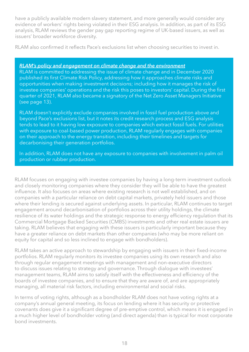have a publicly available modern slavery statement, and more generally would consider any evidence of workers' rights being violated in their ESG analysis. In addition, as part of its ESG analysis, RLAM reviews the gender pay gap reporting regime of UK-based issuers, as well as issuers' broader workforce diversity.

RLAM also confirmed it reflects Pace's exclusions list when choosing securities to invest in.

#### *RLAM's policy and engagement on climate change and the environment*

RLAM is committed to addressing the issue of climate change and in December 2020 published its first Climate Risk Policy, addressing how it approaches climate risks and opportunities when making investment decisions; including how it manages the risk of investee companies' operations and the risk this poses to investors' capital. During the first quarter of 2021, RLAM also became a signatory of the Net Zero Asset Managers Initiative (see page 13).

RLAM doesn't explicitly exclude companies involved in fossil fuel production above and beyond Pace's exclusions list, but it notes its credit research process and ESG analysis tends to lead to it having low exposure to companies which extract fossil fuels. For utilities with exposure to coal-based power production, RLAM regularly engages with companies on their approach to the energy transition, including their timelines and targets for decarbonising their generation portfolios.

In addition, RLAM does not have any exposure to companies with involvement in palm oil production or rubber production.

RLAM focuses on engaging with investee companies by having a long-term investment outlook and closely monitoring companies where they consider they will be able to have the greatest influence. It also focuses on areas where existing research is not well established, and on companies with a particular reliance on debt capital markets, privately held issuers and those where their lending is secured against underlying assets. In particular, RLAM continues to target engagement around decarbonisation of portfolios across their utility holdings, the climate resilience of its water holdings and the strategic response to energy efficiency regulation that its Commercial Mortgage Backed Securities (CMBS) investments and other real estate issuers are taking. RLAM believes that engaging with these issuers is particularly important because they have a greater reliance on debt markets than other companies (who may be more reliant on equity for capital and so less inclined to engage with bondholders).

RLAM takes an active approach to stewardship by engaging with issuers in their fixed-income portfolios. RLAM regularly monitors its investee companies using its own research and also through regular engagement meetings with management and non-executive directors to discuss issues relating to strategy and governance. Through dialogue with investees' management teams, RLAM aims to satisfy itself with the effectiveness and efficiency of the boards of investee companies, and to ensure that they are aware of, and are appropriately managing, all material risk factors, including environmental and social risks.

In terms of voting rights, although as a bondholder RLAM does not have voting rights at a company's annual general meeting, its focus on lending where it has security or protective covenants does give it a significant degree of pre-emptive control, which means it is engaged in a much higher level of bondholder voting (and direct agenda) than is typical for most corporate bond investments.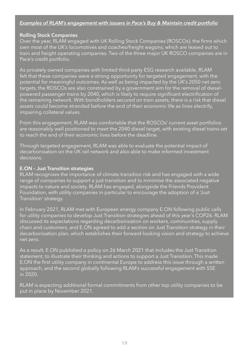#### *Examples of RLAM's engagement with issuers in Pace's Buy & Maintain credit portfolio*

#### **Rolling Stock Companies**

Over the year, RLAM engaged with UK Rolling Stock Companies (ROSCOs), the firms which own most of the UK's locomotives and coaches/freight wagons, which are leased out to train and freight operating companies. Two of the three major UK ROSCO companies are in Pace's credit portfolio.

As privately owned companies with limited third-party ESG research available, RLAM felt that these companies were a strong opportunity for targeted engagement, with the potential for meaningful outcomes. As well as being impacted by the UK's 2050 net zero targets, the ROSCOs are also constrained by a government aim for the removal of dieselpowered passenger trains by 2040, which is likely to require significant electrification of the remaining network. With bondholders secured on train assets, there is a risk that diesel assets could become stranded before the end of their economic life as lines electrify, impairing collateral values.

From this engagement, RLAM was comfortable that the ROSCOs' current asset portfolios are reasonably well positioned to meet the 2040 diesel target, with existing diesel trains set to reach the end of their economic lives before the deadline.

Through targeted engagement, RLAM was able to evaluate the potential impact of decarbonisation on the UK rail network and also able to make informed investment decisions.

#### **E.ON – Just Transition strategies**

RLAM recognises the importance of climate transition risk and has engaged with a wide range of companies to support a just transition and to minimise the associated negative impacts to nature and society. RLAM has engaged, alongside the Friends Provident Foundation, with utility companies in particular to encourage the adoption of a 'Just Transition' strategy.

In February 2021, RLAM met with European energy company E.ON following public calls for utility companies to develop Just Transition strategies ahead of this year's COP26. RLAM discussed its expectations regarding decarbonisation on workers, communities, supply chain and customers, and E.ON agreed to add a section on Just Transition strategy in their decarbonisation plan, which establishes their forward-looking vision and strategy to achieve net zero.

As a result, E.ON published a policy on 26 March 2021 that includes the Just Transition statement, to illustrate their thinking and actions to support a Just Transition. This made E.ON the first utility company in continental Europe to address this issue through a written approach, and the second globally following RLAM's successful engagement with SSE in 2020.

RLAM is expecting additional formal commitments from other top utility companies to be put in place by November 2021.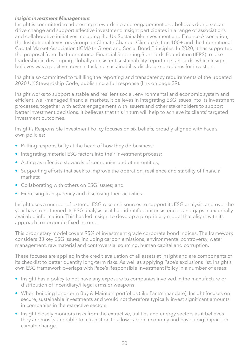#### *Insight Investment Management*

Insight is committed to addressing stewardship and engagement and believes doing so can drive change and support effective investment. Insight participates in a range of associations and collaborative initiatives including the UK Sustainable Investment and Finance Association, the Institutional Investors Group on Climate Change, Climate Action 100+ and the International Capital Market Association (ICMA) – Green and Social Bond Principles. In 2020, it has supported the proposal from the International Financial Reporting Standards Foundation (IFRS) to take leadership in developing globally consistent sustainability reporting standards, which Insight believes was a positive move in tackling sustainability disclosure problems for investors.

Insight also committed to fulfilling the reporting and transparency requirements of the updated 2020 UK Stewardship Code, publishing a full response (link on page 29).

Insight works to support a stable and resilient social, environmental and economic system and efficient, well-managed financial markets. It believes in integrating ESG issues into its investment processes, together with active engagement with issuers and other stakeholders to support better investment decisions. It believes that this in turn will help to achieve its clients' targeted investment outcomes.

Insight's Responsible Investment Policy focuses on six beliefs, broadly aligned with Pace's own policies:

- Putting responsibility at the heart of how they do business;
- Integrating material ESG factors into their investment process;
- Acting as effective stewards of companies and other entities;
- Supporting efforts that seek to improve the operation, resilience and stability of financial markets;
- Collaborating with others on ESG issues; and
- Exercising transparency and disclosing their activities.

Insight uses a number of external ESG research sources to support its ESG analysis, and over the year has strengthened its ESG analysis as it had identified inconsistencies and gaps in externally available information. This has led Insight to develop a proprietary model that aligns with its approach to corporate fixed income.

This proprietary model covers 95% of investment grade corporate bond indices. The framework considers 33 key ESG issues, including carbon emissions, environmental controversy, water management, raw material and controversial sourcing, human capital and corruption.

These focuses are applied in the credit evaluation of all assets at Insight and are components of its checklist to better quantify long-term risks. As well as applying Pace's exclusions list, Insight's own ESG framework overlaps with Pace's Responsible Investment Policy in a number of areas:

- Insight has a policy to not have any exposure to companies involved in the manufacture or distribution of incendiary/illegal arms or weapons.
- When building long-term Buy & Maintain portfolios (like Pace's mandate), Insight focuses on secure, sustainable investments and would not therefore typically invest significant amounts in companies in the extractive sectors.
- Insight closely monitors risks from the extractive, utilities and energy sectors as it believes they are most vulnerable to a transition to a low-carbon economy and have a big impact on climate change.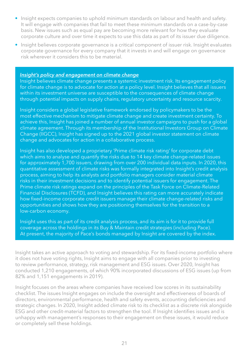- Insight expects companies to uphold minimum standards on labour and health and safety. It will engage with companies that fail to meet these minimum standards on a case-by-case basis. New issues such as equal pay are becoming more relevant for how they evaluate corporate culture and over time it expects to use this data as part of its issuer due diligence.
- Insight believes corporate governance is a critical component of issuer risk. Insight evaluates corporate governance for every company that it invests in and will engage on governance risk wherever it considers this to be material.

#### *Insight's policy and engagement on climate change*

Insight believes climate change presents a systemic investment risk. Its engagement policy for climate change is to advocate for action at a policy level. Insight believes that all issuers within its investment universe are susceptible to the consequences of climate change through potential impacts on supply chains, regulatory uncertainty and resource scarcity.

Insight considers a global legislative framework endorsed by policymakers to be the most effective mechanism to mitigate climate change and create investment certainty. To achieve this, Insight has joined a number of annual investor campaigns to push for a global climate agreement. Through its membership of the Institutional Investors Group on Climate Change (IIGCC), Insight has signed up to the 2021 global investor statement on climate change and advocates for action in a collaborative process.

Insight has also developed a proprietary 'Prime climate risk rating' for corporate debt which aims to analyse and quantify the risks due to 14 key climate change-related issues for approximately 1,700 issuers, drawing from over 200 individual data inputs. In 2020, this quantitative assessment of climate risks was formally integrated into Insight's credit analysis process, aiming to help its analysts and portfolio managers consider material climate risks in their investment decisions and to identify potential issuers for engagement. The Prime climate risk ratings expand on the principles of the Task Force on Climate-Related Financial Disclosures (TCFD), and Insight believes this rating can more accurately indicate how fixed-income corporate credit issuers manage their climate change-related risks and opportunities and shows how they are positioning themselves for the transition to a low-carbon economy.

Insight uses this as part of its credit analysis process, and its aim is for it to provide full coverage across the holdings in its Buy & Maintain credit strategies (including Pace). At present, the majority of Pace's bonds managed by Insight are covered by the index.

Insight takes an active approach to voting and stewardship. For its fixed-income portfolio where it does not have voting rights, Insight aims to engage with all companies prior to investing to review performance, strategy, risk management and ESG issues. Over 2020, Insight has conducted 1,210 engagements, of which 90% incorporated discussions of ESG issues (up from 82% and 1,151 engagements in 2019).

Insight focuses on the areas where companies have received low scores in its sustainability checklist. The issues Insight engages on include the oversight and effectiveness of boards of directors, environmental performance, health and safety events, accounting deficiencies and strategic changes. In 2020, Insight added climate risk to its checklist as a discrete risk alongside ESG and other credit-material factors to strengthen the tool. If Insight identifies issues and is unhappy with management's responses to their engagement on these issues, it would reduce or completely sell these holdings.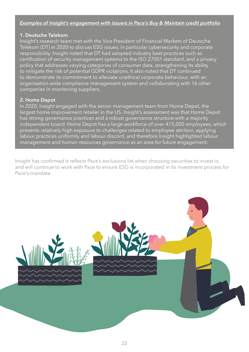#### *Examples of Insight's engagement with issuers in Pace's Buy & Maintain credit portfolio*

#### **1. Deutsche Telekom**

Insight's research team met with the Vice President of Financial Markets of Deutsche Telekom (DT) in 2020 to discuss ESG issues, in particular cybersecurity and corporate responsibility. Insight noted that DT had adopted industry best practices such as certification of security management systems to the ISO 27001 standard, and a privacy policy that addresses varying categories of consumer data, strengthening its ability to mitigate the risk of potential GDPR violations. It also noted that DT continued to demonstrate its commitment to alleviate unethical corporate behaviour, with an organisation-wide compliance management system and collaborating with 16 other companies in monitoring suppliers.

#### **2. Home Depot**

In 2020, Insight engaged with the senior management team from Home Depot, the largest home improvement retailer in the US. Insight's assessment was that Home Depot has strong governance practices and a robust governance structure with a majority independent board. Home Depot has a large workforce of over 415,000 employees, which presents relatively high exposure to challenges related to employee attrition, applying labour practices uniformly and labour discord, and therefore Insight highlighted labour management and human resources governance as an area for future engagement.

Insight has confirmed it reflects Pace's exclusions list when choosing securities to invest in, and will continue to work with Pace to ensure ESG is incorporated in its investment process for Pace's mandate.

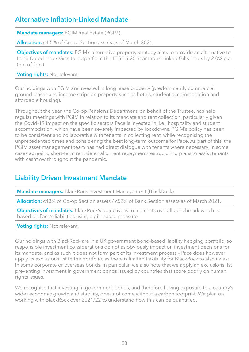## **Alternative Inflation-Linked Mandate**

**Mandate managers:** PGIM Real Estate (PGIM).

**Allocation:** c4.5% of Co-op Section assets as of March 2021.

**Objectives of mandates:** PGIM's alternative property strategy aims to provide an alternative to Long Dated Index Gilts to outperform the FTSE 5-25 Year Index-Linked Gilts index by 2.0% p.a. (net of fees).

**Voting rights:** Not relevant.

Our holdings with PGIM are invested in long lease property (predominantly commercial ground leases and income strips on property such as hotels, student accommodation and affordable housing).

Throughout the year, the Co-op Pensions Department, on behalf of the Trustee, has held regular meetings with PGIM in relation to its mandate and rent collection, particularly given the Covid-19 impact on the specific sectors Pace is invested in, i.e., hospitality and student accommodation, which have been severely impacted by lockdowns. PGIM's policy has been to be consistent and collaborative with tenants in collecting rent, while recognising the unprecedented times and considering the best long-term outcome for Pace. As part of this, the PGIM asset management team has had direct dialogue with tenants where necessary, in some cases agreeing short-term rent deferral or rent repayment/restructuring plans to assist tenants with cashflow throughout the pandemic.

## **Liability Driven Investment Mandate**

**Mandate managers:** BlackRock Investment Management (BlackRock).

**Allocation:** c43% of Co-op Section assets / c52% of Bank Section assets as of March 2021.

**Objectives of mandates:** BlackRock's objective is to match its overall benchmark which is based on Pace's liabilities using a gilt-based measure.

**Voting rights:** Not relevant.

Our holdings with BlackRock are in a UK government bond-based liability hedging portfolio, so responsible investment considerations do not as obviously impact on investment decisions for its mandate, and as such it does not form part of its investment process – Pace does however apply its exclusions list to the portfolio, as there is limited flexibility for BlackRock to also invest in some corporate or overseas bonds. In particular, we also note that we apply an exclusions list preventing investment in government bonds issued by countries that score poorly on human rights issues.

We recognise that investing in government bonds, and therefore having exposure to a country's wider economic growth and stability, does not come without a carbon footprint. We plan on working with BlackRock over 2021/22 to understand how this can be quantified.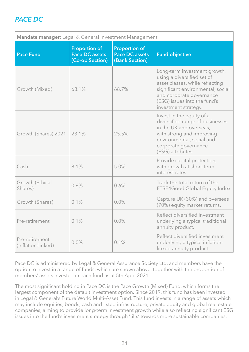## *PACE DC*

| Mandate manager: Legal & General Investment Management |                                                                  |                                                                 |                                                                                                                                                                                                                        |  |
|--------------------------------------------------------|------------------------------------------------------------------|-----------------------------------------------------------------|------------------------------------------------------------------------------------------------------------------------------------------------------------------------------------------------------------------------|--|
| <b>Pace Fund</b>                                       | <b>Proportion of</b><br><b>Pace DC assets</b><br>(Co-op Section) | <b>Proportion of</b><br><b>Pace DC assets</b><br>(Bank Section) | <b>Fund objective</b>                                                                                                                                                                                                  |  |
| Growth (Mixed)                                         | 68.1%                                                            | 68.7%                                                           | Long-term investment growth,<br>using a diversified set of<br>asset classes, while reflecting<br>significant environmental, social<br>and corporate governance<br>(ESG) issues into the fund's<br>investment strategy. |  |
| Growth (Shares) 2021                                   | 23.1%                                                            | 25.5%                                                           | Invest in the equity of a<br>diversified range of businesses<br>in the UK and overseas,<br>with strong and improving<br>environmental, social and<br>corporate governance<br>(ESG) attributes.                         |  |
| Cash                                                   | 8.1%                                                             | 5.0%                                                            | Provide capital protection,<br>with growth at short-term<br>interest rates.                                                                                                                                            |  |
| Growth (Ethical<br>Shares)                             | 0.6%                                                             | 0.6%                                                            | Track the total return of the<br>FTSE4Good Global Equity Index.                                                                                                                                                        |  |
| Growth (Shares)                                        | 0.1%                                                             | 0.0%                                                            | Capture UK (30%) and overseas<br>(70%) equity market returns.                                                                                                                                                          |  |
| Pre-retirement                                         | 0.1%                                                             | 0.0%                                                            | Reflect diversified investment<br>underlying a typical traditional<br>annuity product.                                                                                                                                 |  |
| Pre-retirement<br>(inflation-linked)                   | 0.0%                                                             | 0.1%                                                            | Reflect diversified investment<br>underlying a typical inflation-<br>linked annuity product.                                                                                                                           |  |

Pace DC is administered by Legal & General Assurance Society Ltd, and members have the option to invest in a range of funds, which are shown above, together with the proportion of members' assets invested in each fund as at 5th April 2021.

The most significant holding in Pace DC is the Pace Growth (Mixed) Fund, which forms the largest component of the default investment option. Since 2019, this fund has been invested in Legal & General's Future World Multi-Asset Fund. This fund invests in a range of assets which may include equities, bonds, cash and listed infrastructure, private equity and global real estate companies, aiming to provide long-term investment growth while also reflecting significant ESG issues into the fund's investment strategy through 'tilts' towards more sustainable companies.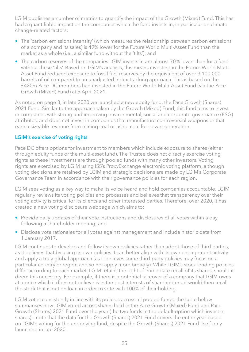LGIM publishes a number of metrics to quantify the impact of the Growth (Mixed) Fund. This has had a quantifiable impact on the companies which the fund invests in, in particular on climate change-related factors:

- The 'carbon emissions intensity' (which measures the relationship between carbon emissions of a company and its sales) is 49% lower for the Future World Multi-Asset Fund than the market as a whole (i.e., a similar fund without the 'tilts'); and
- The carbon reserves of the companies LGIM invests in are almost 70% lower than for a fund without these 'tilts'. Based on LGIM's analysis, this means investing in the Future World Multi-Asset Fund reduced exposure to fossil fuel reserves by the equivalent of over 3,100,000 barrels of oil compared to an unadjusted index-tracking approach. This is based on the £420m Pace DC members had invested in the Future World Multi-Asset Fund (via the Pace Growth (Mixed) Fund) at 5 April 2021.

As noted on page 8, in late 2020 we launched a new equity fund, the Pace Growth (Shares) 2021 Fund. Similar to the approach taken by the Growth (Mixed) Fund, this fund aims to invest in companies with strong and improving environmental, social and corporate governance (ESG) attributes, and does not invest in companies that manufacture controversial weapons or that earn a sizeable revenue from mining coal or using coal for power generation.

#### **LGIM's exercise of voting rights**

Pace DC offers options for investment to members which include exposure to shares (either through equity funds or the multi-asset fund). The Trustee does not directly exercise voting rights as these investments are through pooled funds with many other investors. Voting rights are exercised by LGIM using ISS's ProxyExchange electronic voting platform, although voting decisions are retained by LGIM and strategic decisions are made by LGIM's Corporate Governance Team in accordance with their governance policies for each region.

LGIM sees voting as a key way to make its voice heard and hold companies accountable. LGIM regularly reviews its voting policies and processes and believes that transparency over their voting activity is critical for its clients and other interested parties. Therefore, over 2020, it has created a new voting disclosure webpage which aims to:

- Provide daily updates of their vote instructions and disclosures of all votes within a day following a shareholder meeting; and
- Disclose vote rationales for all votes against management and include historic data from 1 January 2017.

LGIM continues to develop and follow its own policies rather than adopt those of third parties, as it believes that by using its own policies it can better align with its own engagement activity and apply a truly global approach (as it believes some third-party policies may focus on a particular country or region and so not apply more broadly). While LGIM's stock lending policies differ according to each market, LGIM retains the right of immediate recall of its shares, should it deem this necessary. For example, if there is a potential takeover of a company that LGIM owns at a price which it does not believe is in the best interests of shareholders, it would then recall the stock that is out on loan in order to vote with 100% of their holding.

LGIM votes consistently in line with its policies across all pooled funds; the table below summarises how LGIM voted across shares held in the Pace Growth (Mixed) Fund and Pace Growth (Shares) 2021 Fund over the year (the two funds in the default option which invest in shares) – note that the data for the Growth (Shares) 2021 Fund covers the entire year based on LGIM's voting for the underlying fund, despite the Growth (Shares) 2021 Fund itself only launching in late 2020.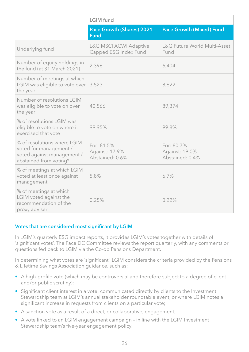|                                                                                                               | <b>LGIM</b> fund                                           |                                                 |  |  |
|---------------------------------------------------------------------------------------------------------------|------------------------------------------------------------|-------------------------------------------------|--|--|
|                                                                                                               | <b>Pace Growth (Shares) 2021</b><br><b>Fund</b>            | <b>Pace Growth (Mixed) Fund</b>                 |  |  |
| Underlying fund                                                                                               | <b>L&amp;G MSCI ACWI Adaptive</b><br>Capped ESG Index Fund | L&G Future World Multi-Asset<br>Fund            |  |  |
| Number of equity holdings in<br>the fund (at 31 March 2021)                                                   | 2,396                                                      | 6,404                                           |  |  |
| Number of meetings at which<br>LGIM was eligible to vote over<br>the year                                     | 3,523                                                      | 8,622                                           |  |  |
| Number of resolutions LGIM<br>was eligible to vote on over<br>the year                                        | 40,566                                                     | 89,374                                          |  |  |
| % of resolutions LGIM was<br>eligible to vote on where it<br>exercised that vote                              | 99.95%                                                     | 99.8%                                           |  |  |
| % of resolutions where LGIM<br>voted for management /<br>voted against management /<br>abstained from voting* | For: 81.5%<br>Against: 17.9%<br>Abstained: 0.6%            | For: 80.7%<br>Against: 19.0%<br>Abstained: 0.4% |  |  |
| % of meetings at which LGIM<br>voted at least once against<br>management                                      | 5.8%                                                       | 6.7%                                            |  |  |
| % of meetings at which<br>LGIM voted against the<br>recommendation of the<br>proxy adviser                    | 0.25%                                                      | 0.22%                                           |  |  |

#### **Votes that are considered most significant by LGIM**

In LGIM's quarterly ESG impact reports, it provides LGIM's votes together with details of 'significant votes'. The Pace DC Committee reviews the report quarterly, with any comments or questions fed back to LGIM via the Co-op Pensions Department.

In determining what votes are 'significant', LGIM considers the criteria provided by the Pensions & Lifetime Savings Association guidance, such as:

- A high-profile vote (which may be controversial and therefore subject to a degree of client and/or public scrutiny);
- Significant client interest in a vote: communicated directly by clients to the Investment Stewardship team at LGIM's annual stakeholder roundtable event, or where LGIM notes a significant increase in requests from clients on a particular vote;
- A sanction vote as a result of a direct, or collaborative, engagement;
- A vote linked to an LGIM engagement campaign in line with the LGIM Investment Stewardship team's five-year engagement policy.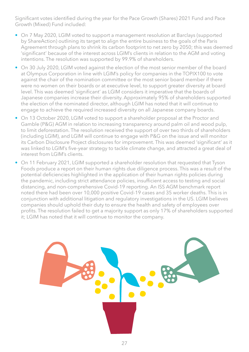Significant votes identified during the year for the Pace Growth (Shares) 2021 Fund and Pace Growth (Mixed) Fund included:

- On 7 May 2020, LGIM voted to support a management resolution at Barclays (supported by ShareAction) outlining its target to align the entire business to the goals of the Paris Agreement through plans to shrink its carbon footprint to net zero by 2050; this was deemed 'significant' because of the interest across LGIM's clients in relation to the AGM and voting intentions. The resolution was supported by 99.9% of shareholders.
- On 30 July 2020, LGIM voted against the election of the most senior member of the board at Olympus Corporation in line with LGIM's policy for companies in the TOPIX100 to vote against the chair of the nomination committee or the most senior board member if there were no women on their boards or at executive level, to support greater diversity at board level. This was deemed 'significant' as LGIM considers it imperative that the boards of Japanese companies increase their diversity. Approximately 95% of shareholders supported the election of the nominated director, although LGIM has noted that it will continue to engage to achieve the required increased diversity on all Japanese company boards.
- On 13 October 2020, LGIM voted to support a shareholder proposal at the Proctor and Gamble (P&G) AGM in relation to increasing transparency around palm oil and wood pulp, to limit deforestation. The resolution received the support of over two thirds of shareholders (including LGIM), and LGIM will continue to engage with P&G on the issue and will monitor its Carbon Disclosure Project disclosures for improvement. This was deemed 'significant' as it was linked to LGIM's five-year strategy to tackle climate change, and attracted a great deal of interest from LGIM's clients.
- On 11 February 2021, LGIM supported a shareholder resolution that requested that Tyson Foods produce a report on their human rights due diligence process. This was a result of the potential deficiencies highlighted in the application of their human rights policies during the pandemic, including strict attendance policies, insufficient access to testing and social distancing, and non-comprehensive Covid-19 reporting. An ISS AGM benchmark report noted there had been over 10,000 positive Covid-19 cases and 35 worker deaths. This is in conjunction with additional litigation and regulatory investigations in the US. LGIM believes companies should uphold their duty to ensure the health and safety of employees over profits. The resolution failed to get a majority support as only 17% of shareholders supported it; LGIM has noted that it will continue to monitor the company.

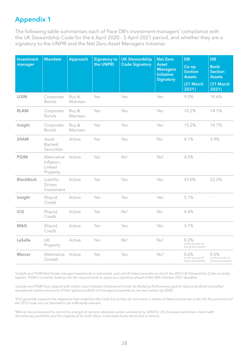## **Appendix 1**

The following table summarises each of Pace DB's investment managers' compliance with the UK Stewardship Code for the 6 April 2020 - 5 April 2021 period, and whether they are a signatory to the UNPRI and the Net Zero Asset Managers Initiative:

| <b>Investment</b><br>manager | <b>Mandate</b>                                  | Approach          | <b>Signatory to</b><br>the UNPRI | <b>UK Stewardship</b><br><b>Code Signatory</b> | <b>Net Zero</b><br><b>Asset</b><br><b>Managers</b><br><b>Initiative</b><br><b>Signatory</b> | <b>DB</b><br>Co-op<br><b>Section</b><br><b>Assets</b><br>(31 March<br>2021) | <b>DB</b><br><b>Bank</b><br><b>Section</b><br><b>Assets</b><br>(31 March<br>2021) |
|------------------------------|-------------------------------------------------|-------------------|----------------------------------|------------------------------------------------|---------------------------------------------------------------------------------------------|-----------------------------------------------------------------------------|-----------------------------------------------------------------------------------|
| <b>LGIM</b>                  | Corporate<br><b>Bonds</b>                       | Buy &<br>Maintain | Yes                              | Yes                                            | Yes                                                                                         | 9.0%                                                                        | 14.6%                                                                             |
| <b>RLAM</b>                  | Corporate<br>Bonds                              | Buy &<br>Maintain | Yes                              | Yes                                            | Yes                                                                                         | 10.2%                                                                       | 14.1%                                                                             |
| Insight                      | Corporate<br>Bonds                              | Buy &<br>Maintain | Yes                              | Yes                                            | Yes                                                                                         | 15.2%                                                                       | 14.7%                                                                             |
| 24AM                         | Asset<br>Backed<br>Securities                   | Active            | Yes                              | Yes                                            | No                                                                                          | 4.1%                                                                        | 3.9%                                                                              |
| <b>PGIM</b>                  | Alternative<br>Inflation-<br>Linked<br>Property | Active            | Yes                              | No <sup>1</sup>                                | No <sup>2</sup>                                                                             | 4.5%                                                                        |                                                                                   |
| <b>BlackRock</b>             | Liability<br>Driven<br>Investment               | Active            | Yes                              | Yes                                            | Yes                                                                                         | 43.0%                                                                       | 52.2%                                                                             |
| Insight                      | Illiquid<br>Credit                              | Active            | Yes                              | Yes                                            | Yes                                                                                         | 5.1%                                                                        |                                                                                   |
| ICG                          | Illiquid<br>Credit                              | Active            | Yes                              | No <sup>3</sup>                                | No                                                                                          | 4.4%                                                                        | $\bar{a}$                                                                         |
| M&G                          | Illiquid<br>Credit                              | Active            | Yes                              | Yes                                            | Yes                                                                                         | 3.7%                                                                        |                                                                                   |
| LaSalle                      | UK<br>Property                                  | Active            | Yes                              | No <sup>1</sup>                                | No <sup>2</sup>                                                                             | 0.2%<br>(in the process of<br>being disinvested)                            |                                                                                   |
| <b>Mercer</b>                | Alternative<br>Growth                           | Active            | Yes                              | Yes                                            | No <sup>4</sup>                                                                             | 0.6%<br>(in the process of<br>being disinvested)                            | 0.5%<br>(in the process of<br>being disinvested)                                  |

*1LaSalle and PGIM Real Estate manage investments in real estate, and not UK listed securities to which the 2012 UK Stewardship Code currently applies. PGIM is currently looking into the requirements to apply as a signatory ahead of the 30th October 2021 deadline.*

*2LaSalle and PGIM have aligned with Urban Land Institute's Greenprint Center for Building Performance goal to reduce landlord-controlled operational carbon emissions of their global portfolio of managed properties to net zero carbon by 2050.*

<sup>3</sup>ICG generally supports the objectives that underline the Code but as they do not invest in shares of listed companies in the UK, the provisions of *the 2012 code are not deemed to be sufficiently relevant.*

*4Mercer has announced to commit to a target of net zero absolute carbon emissions by 2050 for UK, European and Asian clients with discretionary portfolios and the majority of its multi-client, multi-asset funds domiciled in Ireland.*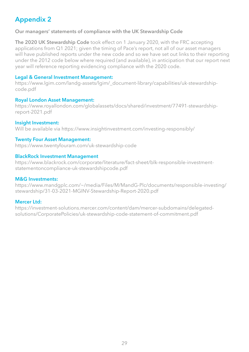## **Appendix 2**

#### **Our managers' statements of compliance with the UK Stewardship Code**

**The 2020 UK Stewardship Code** took effect on 1 January 2020, with the FRC accepting applications from Q1 2021; given the timing of Pace's report, not all of our asset managers will have published reports under the new code and so we have set out links to their reporting under the 2012 code below where required (and available), in anticipation that our report next year will reference reporting evidencing compliance with the 2020 code.

#### **Legal & General Investment Management:**

[https://www.lgim.com/landg-assets/lgim/\\_document-library/capabilities/uk-stewardship](https://www.lgim.com/landg-assets/lgim/_document-library/capabilities/uk-stewardship-code.pdf)[code.pdf](https://www.lgim.com/landg-assets/lgim/_document-library/capabilities/uk-stewardship-code.pdf)

#### **Royal London Asset Management:**

[https://www.royallondon.com/globalassets/docs/shared/investment/77491-stewardship](https://www.royallondon.com/globalassets/docs/shared/investment/77491-stewardship-report-2021.pdf)[report-2021.pdf](https://www.royallondon.com/globalassets/docs/shared/investment/77491-stewardship-report-2021.pdf) 

#### **Insight Investment:**

Will be available via<https://www.insightinvestment.com/investing-responsibly/>

#### **Twenty Four Asset Management:**

<https://www.twentyfouram.com/uk-stewardship-code>

#### **BlackRock Investment Management**

[https://www.blackrock.com/corporate/literature/fact-sheet/blk-responsible-investment](https://www.blackrock.com/corporate/literature/fact-sheet/blk-responsible-investment-statementoncompliance-uk-stewardshipcode.pdf)[statementoncompliance-uk-stewardshipcode.pdf](https://www.blackrock.com/corporate/literature/fact-sheet/blk-responsible-investment-statementoncompliance-uk-stewardshipcode.pdf)

#### **M&G Investments:**

[https://www.mandgplc.com/~/media/Files/M/MandG-Plc/documents/responsible-investing/](https://www.mandgplc.com/~/media/Files/M/MandG-Plc/documents/responsible-investing/stewardship/31-03-2021-MGINV-Stewardship-Report-2020.pdf) [stewardship/31-03-2021-MGINV-Stewardship-Report-2020.pdf](https://www.mandgplc.com/~/media/Files/M/MandG-Plc/documents/responsible-investing/stewardship/31-03-2021-MGINV-Stewardship-Report-2020.pdf)

#### **Mercer Ltd:**

[https://investment-solutions.mercer.com/content/dam/mercer-subdomains/delegated](https://investment-solutions.mercer.com/content/dam/mercer-subdomains/delegated-solutions/CorporatePolicies/uk-stewardship-code-statement-of-commitment.pdf)[solutions/CorporatePolicies/uk-stewardship-code-statement-of-commitment.pdf](https://investment-solutions.mercer.com/content/dam/mercer-subdomains/delegated-solutions/CorporatePolicies/uk-stewardship-code-statement-of-commitment.pdf)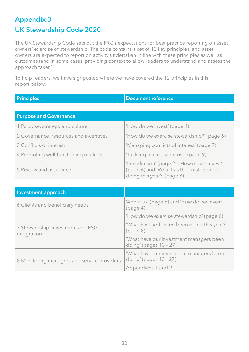## **Appendix 3 UK Stewardship Code 2020**

The UK Stewardship Code sets out the FRC's expectations for best practice reporting on asset owners' exercise of stewardship. The code contains a set of 12 key principles, and asset owners are expected to report on activity undertaken in line with these principles as well as outcomes (and in some cases, providing context to allow readers to understand and assess the approach taken).

To help readers, we have signposted where we have covered the 12 principles in this report below.

**Principles Document reference** 

| <b>Purpose and Governance</b>          |                                                                                                                      |  |  |  |
|----------------------------------------|----------------------------------------------------------------------------------------------------------------------|--|--|--|
| 1 Purpose, strategy and culture        | 'How do we invest' (page 4)                                                                                          |  |  |  |
| 2 Governance, resources and incentives | 'How do we exercise stewardship?' (page 6)                                                                           |  |  |  |
| 3 Conflicts of interest                | 'Managing conflicts of interest' (page 7)                                                                            |  |  |  |
| 4 Promoting well-functioning markets   | 'Tackling market-wide risk' (page 9)                                                                                 |  |  |  |
| 5 Review and assurance                 | 'Introduction' (page 2); 'How do we invest'<br>(page 4) and 'What has the Trustee been<br>doing this year?' (page 8) |  |  |  |

| Investment approach                              |                                                                      |
|--------------------------------------------------|----------------------------------------------------------------------|
| 6 Clients and beneficiary needs                  | 'About us' (page 5) and 'How do we invest'<br>(page 4)               |
|                                                  | 'How do we exercise stewardship' (page 6)                            |
| 7 Stewardship, investment and ESG<br>integration | 'What has the Trustee been doing this year?'<br>(page 8)             |
|                                                  | 'What have our investment managers been<br>doing' (pages $13 - 27$ ) |
| 8 Monitoring managers and service providers      | 'What have our investment managers been<br>doing' (pages 13 - 27)    |
|                                                  | Appendices 1 and 2                                                   |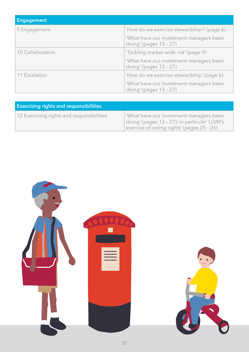| <b>Engagement</b> |                                                                      |
|-------------------|----------------------------------------------------------------------|
| 9 Engagement      | 'How do we exercise stewardship?' (page 6)                           |
|                   | 'What have our investment managers been<br>doing' (pages $13 - 27$ ) |
| 10 Collaboration  | 'Tackling market-wide risk' (page 9)                                 |
|                   | 'What have our investment managers been<br>doing' (pages $13 - 27$ ) |
| 11 Escalation     | 'How do we exercise stewardship' (page 6)                            |
|                   | 'What have our investment managers been<br>doing' (pages $13 - 27$ ) |

| <b>Exercising rights and responsibilities</b> |                                                                                                                                       |  |  |
|-----------------------------------------------|---------------------------------------------------------------------------------------------------------------------------------------|--|--|
| 12 Exercising rights and responsibilities     | What have our investment managers been<br>doing' (pages 13 - 27); in particular 'LGIM's<br>exercise of voting rights' (pages 25 - 26) |  |  |

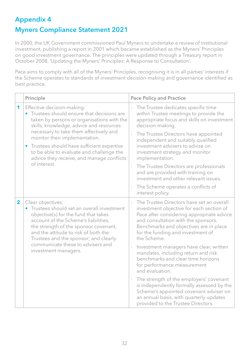## **Appendix 4 Myners Compliance Statement 2021**

In 2000, the UK Government commissioned Paul Myners to undertake a review of institutional investment, publishing a report in 2001 which became established as the Myners' Principles on good investment governance. The principles were updated through a Treasury report in October 2008, 'Updating the Myners' Principles: A Response to Consultation'.

Pace aims to comply with all of the Myners' Principles, recognising it is in all parties' interests if the Scheme operates to standards of investment decision-making and governance identified as best practice.

|             | Principle                                                                                                                                                                                                                                                                                                                                                                                                        | <b>Pace Policy and Practice</b>                                                                                                                                                                                                                                                                                                                                                                                                                                   |  |  |
|-------------|------------------------------------------------------------------------------------------------------------------------------------------------------------------------------------------------------------------------------------------------------------------------------------------------------------------------------------------------------------------------------------------------------------------|-------------------------------------------------------------------------------------------------------------------------------------------------------------------------------------------------------------------------------------------------------------------------------------------------------------------------------------------------------------------------------------------------------------------------------------------------------------------|--|--|
| 1           | Effective decision-making:<br>• Trustees should ensure that decisions are<br>taken by persons or organisations with the<br>skills, knowledge, advice and resources<br>necessary to take them effectively and<br>monitor their implementation.<br>Trustees should have sufficient expertise<br>$\bullet$<br>to be able to evaluate and challenge the<br>advice they receive, and manage conflicts<br>of interest. | The Trustee dedicates specific time<br>within Trustee meetings to provide the<br>appropriate focus and skills on investment<br>decision-making.<br>The Trustee Directors have appointed<br>independent and suitably qualified<br>investment advisers to advise on<br>investment strategy and monitor<br>implementation.<br>The Trustee Directors are professionals<br>$\frac{1}{2}$<br>and are provided with training on<br>investment and other relevant issues. |  |  |
|             |                                                                                                                                                                                                                                                                                                                                                                                                                  | The Scheme operates a conflicts of<br>$\overline{\phantom{a}}$<br>interest policy.                                                                                                                                                                                                                                                                                                                                                                                |  |  |
| $\mathbf 2$ | Clear objectives:<br>Trustees should set an overall investment<br>objective(s) for the fund that takes<br>account of the Scheme's liabilities,<br>the strength of the sponsor covenant,<br>and the attitude to risk of both the<br>Trustees and the sponsor; and clearly                                                                                                                                         | The Trustee Directors have set an overall<br>investment objective for each section of<br>Pace after considering appropriate advice<br>and consultation with the sponsors.<br>Benchmarks and objectives are in place<br>for the funding and investment of<br>the Scheme.                                                                                                                                                                                           |  |  |
|             | communicate these to advisers and<br>investment managers.                                                                                                                                                                                                                                                                                                                                                        | Investment managers have clear, written<br>mandates, including return and risk<br>benchmarks and clear time horizons<br>for performance measurement<br>and evaluation.                                                                                                                                                                                                                                                                                            |  |  |
|             |                                                                                                                                                                                                                                                                                                                                                                                                                  | The strength of the employers' covenant<br>$\overline{\phantom{a}}$<br>is independently formally assessed by the<br>Scheme's appointed covenant adviser on<br>an annual basis, with quarterly updates<br>provided to the Trustee Directors.                                                                                                                                                                                                                       |  |  |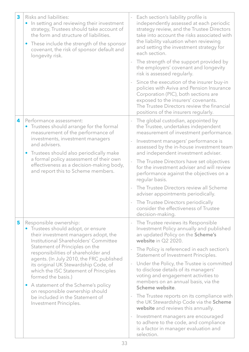| 3 | Risks and liabilities:<br>In setting and reviewing their investment<br>strategy, Trustees should take account of<br>the form and structure of liabilities.<br>These include the strength of the sponsor<br>covenant, the risk of sponsor default and<br>longevity risk.                                                                                                                                                                                                                                         | Each section's liability profile is<br>independently assessed at each periodic<br>strategy review, and the Trustee Directors<br>take into account the risks associated with<br>the liability valuation when reviewing<br>and setting the investment strategy for<br>each section.<br>The strength of the support provided by<br>the employers' covenant and longevity<br>risk is assessed regularly.<br>Since the execution of the insurer buy-in<br>policies with Aviva and Pension Insurance<br>Corporation (PIC), both sections are<br>exposed to the insurers' covenants.<br>The Trustee Directors review the financial<br>positions of the insurers regularly.                                                    |
|---|-----------------------------------------------------------------------------------------------------------------------------------------------------------------------------------------------------------------------------------------------------------------------------------------------------------------------------------------------------------------------------------------------------------------------------------------------------------------------------------------------------------------|------------------------------------------------------------------------------------------------------------------------------------------------------------------------------------------------------------------------------------------------------------------------------------------------------------------------------------------------------------------------------------------------------------------------------------------------------------------------------------------------------------------------------------------------------------------------------------------------------------------------------------------------------------------------------------------------------------------------|
| 4 | Performance assessment:<br>Trustees should arrange for the formal<br>measurement of the performance of<br>investments, investment managers<br>and advisers.<br>Trustees should also periodically make<br>a formal policy assessment of their own<br>effectiveness as a decision-making body,<br>and report this to Scheme members.                                                                                                                                                                              | The global custodian, appointed by<br>the Trustee, undertakes independent<br>measurement of investment performance.<br>Investment managers' performance is<br>assessed by the in-house investment team<br>and independent investment adviser.<br>The Trustee Directors have set objectives<br>for the investment adviser and will review<br>performance against the objectives on a<br>regular basis.<br>The Trustee Directors review all Scheme<br>adviser appointments periodically.<br>The Trustee Directors periodically<br>$\overline{\phantom{a}}$<br>consider the effectiveness of Trustee<br>decision-making.                                                                                                  |
| 5 | Responsible ownership:<br>• Trustees should adopt, or ensure<br>their investment managers adopt, the<br>Institutional Shareholders' Committee<br>Statement of Principles on the<br>responsibilities of shareholder and<br>agents. (In July 2010, the FRC published<br>its original UK Stewardship Code, of<br>which the ISC Statement of Principles<br>formed the basis.)<br>A statement of the Scheme's policy<br>on responsible ownership should<br>be included in the Statement of<br>Investment Principles. | The Trustee reviews its Responsible<br>Investment Policy annually and published<br>an updated Policy on the Scheme's<br>website in Q2 2020.<br>The Policy is referenced in each section's<br>Statement of Investment Principles.<br>Under the Policy, the Trustee is committed<br>i,<br>to disclose details of its managers'<br>voting and engagement activities to<br>members on an annual basis, via the<br>Scheme website.<br>The Trustee reports on its compliance with<br>the UK Stewardship Code via the Scheme<br>website and reviews this annually.<br>Investment managers are encouraged<br>$\qquad \qquad -$<br>to adhere to the code, and compliance<br>is a factor in manager evaluation and<br>selection. |